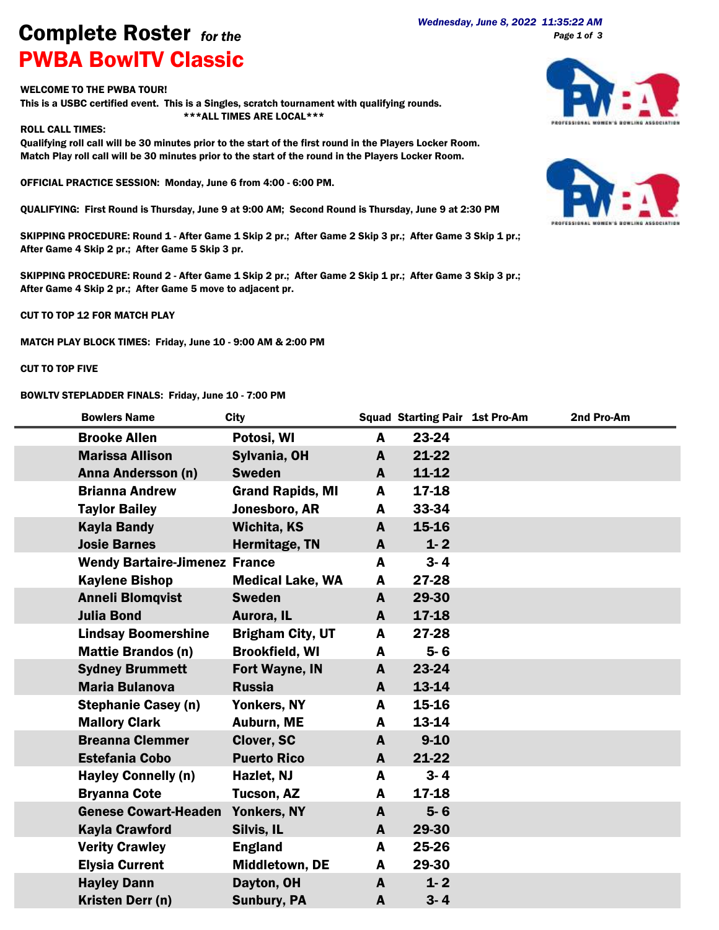## *Wednesday, June 8, 2022 11:35:22 AM* Complete Roster *for the* PWBA BowlTV Classic

## WELCOME TO THE PWBA TOUR!

This is a USBC certified event. This is a Singles, scratch tournament with qualifying rounds. \*\*\*ALL TIMES ARE LOCAL\*\*\*

## ROLL CALL TIMES:

Qualifying roll call will be 30 minutes prior to the start of the first round in the Players Locker Room. Match Play roll call will be 30 minutes prior to the start of the round in the Players Locker Room.

OFFICIAL PRACTICE SESSION: Monday, June 6 from 4:00 - 6:00 PM.

QUALIFYING: First Round is Thursday, June 9 at 9:00 AM; Second Round is Thursday, June 9 at 2:30 PM

SKIPPING PROCEDURE: Round 1 - After Game 1 Skip 2 pr.; After Game 2 Skip 3 pr.; After Game 3 Skip 1 pr.; After Game 4 Skip 2 pr.; After Game 5 Skip 3 pr.

SKIPPING PROCEDURE: Round 2 - After Game 1 Skip 2 pr.; After Game 2 Skip 1 pr.; After Game 3 Skip 3 pr.; After Game 4 Skip 2 pr.; After Game 5 move to adjacent pr.

CUT TO TOP 12 FOR MATCH PLAY

MATCH PLAY BLOCK TIMES: Friday, June 10 - 9:00 AM & 2:00 PM

## CUT TO TOP FIVE

BOWLTV STEPLADDER FINALS: Friday, June 10 - 7:00 PM





| <b>Bowlers Name</b>                  | <b>City</b>             |   | <b>Squad Starting Pair 1st Pro-Am</b> | 2nd Pro-Am |
|--------------------------------------|-------------------------|---|---------------------------------------|------------|
| <b>Brooke Allen</b>                  | Potosi, WI              | A | 23-24                                 |            |
| <b>Marissa Allison</b>               | Sylvania, OH            | A | 21-22                                 |            |
| Anna Andersson (n)                   | <b>Sweden</b>           | A | $11 - 12$                             |            |
| <b>Brianna Andrew</b>                | <b>Grand Rapids, MI</b> | A | 17-18                                 |            |
| <b>Taylor Bailey</b>                 | Jonesboro, AR           | A | 33-34                                 |            |
| <b>Kayla Bandy</b>                   | <b>Wichita, KS</b>      | A | $15 - 16$                             |            |
| <b>Josie Barnes</b>                  | Hermitage, TN           | A | $1 - 2$                               |            |
| <b>Wendy Bartaire-Jimenez France</b> |                         | A | $3 - 4$                               |            |
| <b>Kaylene Bishop</b>                | <b>Medical Lake, WA</b> | A | 27-28                                 |            |
| <b>Anneli Blomqvist</b>              | <b>Sweden</b>           | A | 29-30                                 |            |
| <b>Julia Bond</b>                    | Aurora, IL              | A | 17-18                                 |            |
| <b>Lindsay Boomershine</b>           | <b>Brigham City, UT</b> | A | 27-28                                 |            |
| <b>Mattie Brandos (n)</b>            | <b>Brookfield, WI</b>   | A | $5 - 6$                               |            |
| <b>Sydney Brummett</b>               | <b>Fort Wayne, IN</b>   | A | 23-24                                 |            |
| <b>Maria Bulanova</b>                | <b>Russia</b>           | A | 13-14                                 |            |
| <b>Stephanie Casey (n)</b>           | Yonkers, NY             | A | 15-16                                 |            |
| <b>Mallory Clark</b>                 | Auburn, ME              | A | 13-14                                 |            |
| <b>Breanna Clemmer</b>               | <b>Clover, SC</b>       | A | $9 - 10$                              |            |
| <b>Estefania Cobo</b>                | <b>Puerto Rico</b>      | A | $21 - 22$                             |            |
| <b>Hayley Connelly (n)</b>           | Hazlet, NJ              | A | $3 - 4$                               |            |
| <b>Bryanna Cote</b>                  | Tucson, AZ              | A | 17-18                                 |            |
| <b>Genese Cowart-Headen</b>          | Yonkers, NY             | A | $5 - 6$                               |            |
| <b>Kayla Crawford</b>                | Silvis, IL              | A | 29-30                                 |            |
| <b>Verity Crawley</b>                | <b>England</b>          | A | 25-26                                 |            |
| <b>Elysia Current</b>                | Middletown, DE          | A | 29-30                                 |            |
| <b>Hayley Dann</b>                   | Dayton, OH              | A | $1 - 2$                               |            |
| Kristen Derr (n)                     | <b>Sunbury, PA</b>      | A | $3 - 4$                               |            |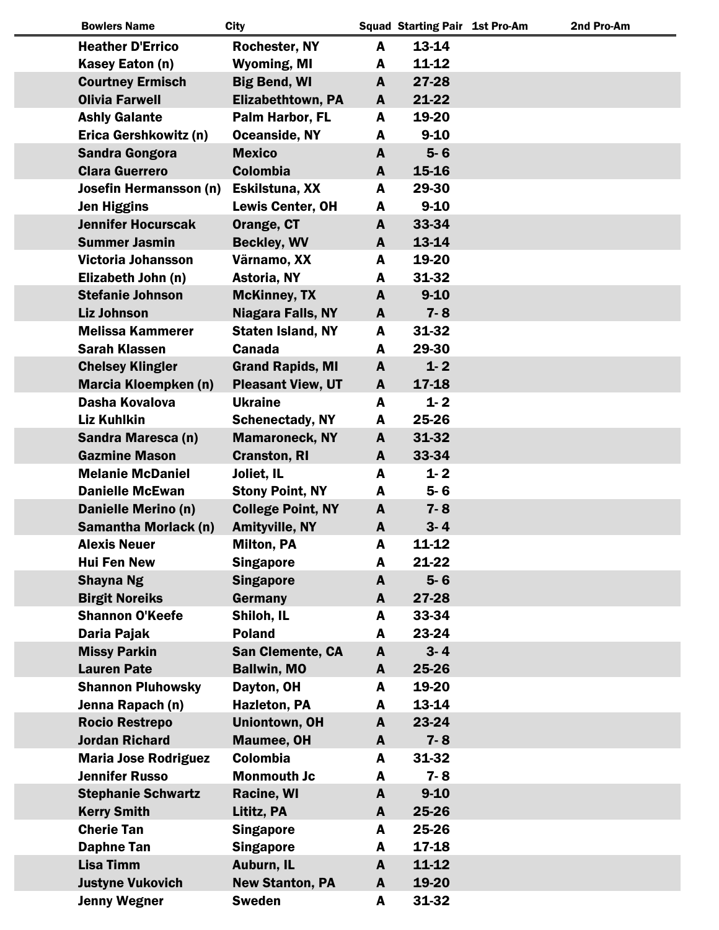| <b>Bowlers Name</b>         | <b>City</b>              |              | <b>Squad Starting Pair 1st Pro-Am</b> | 2nd Pro-Am |
|-----------------------------|--------------------------|--------------|---------------------------------------|------------|
| <b>Heather D'Errico</b>     | <b>Rochester, NY</b>     | A            | 13-14                                 |            |
| Kasey Eaton (n)             | <b>Wyoming, MI</b>       | A            | $11 - 12$                             |            |
| <b>Courtney Ermisch</b>     | <b>Big Bend, WI</b>      | $\mathbf{A}$ | 27-28                                 |            |
| <b>Olivia Farwell</b>       | <b>Elizabethtown, PA</b> | A            | 21-22                                 |            |
| <b>Ashly Galante</b>        | Palm Harbor, FL          | A            | 19-20                                 |            |
| Erica Gershkowitz (n)       | <b>Oceanside, NY</b>     | A            | $9 - 10$                              |            |
| <b>Sandra Gongora</b>       | <b>Mexico</b>            | A            | $5 - 6$                               |            |
| <b>Clara Guerrero</b>       | <b>Colombia</b>          | A            | 15-16                                 |            |
| Josefin Hermansson (n)      | Eskilstuna, XX           | A            | 29-30                                 |            |
| <b>Jen Higgins</b>          | Lewis Center, OH         | A            | $9 - 10$                              |            |
| <b>Jennifer Hocurscak</b>   | Orange, CT               | A            | 33-34                                 |            |
| <b>Summer Jasmin</b>        | <b>Beckley, WV</b>       | A            | 13-14                                 |            |
| <b>Victoria Johansson</b>   | Värnamo, XX              | A            | 19-20                                 |            |
| Elizabeth John (n)          | Astoria, NY              | A            | 31-32                                 |            |
| <b>Stefanie Johnson</b>     | <b>McKinney, TX</b>      | A            | $9 - 10$                              |            |
| <b>Liz Johnson</b>          | <b>Niagara Falls, NY</b> | A            | $7 - 8$                               |            |
| <b>Melissa Kammerer</b>     | <b>Staten Island, NY</b> | A            | 31-32                                 |            |
| <b>Sarah Klassen</b>        | <b>Canada</b>            | A            | 29-30                                 |            |
| <b>Chelsey Klingler</b>     | <b>Grand Rapids, MI</b>  | $\mathbf{A}$ | $1 - 2$                               |            |
| <b>Marcia Kloempken (n)</b> | <b>Pleasant View, UT</b> | A            | 17-18                                 |            |
| Dasha Kovalova              | <b>Ukraine</b>           | A            | $1 - 2$                               |            |
| <b>Liz Kuhlkin</b>          | <b>Schenectady, NY</b>   | A            | 25-26                                 |            |
| Sandra Maresca (n)          | <b>Mamaroneck, NY</b>    | A            | 31-32                                 |            |
| <b>Gazmine Mason</b>        | <b>Cranston, RI</b>      | A            | 33-34                                 |            |
| <b>Melanie McDaniel</b>     | Joliet, IL               | A            | $1 - 2$                               |            |
| <b>Danielle McEwan</b>      | <b>Stony Point, NY</b>   | A            | $5 - 6$                               |            |
| <b>Danielle Merino (n)</b>  | <b>College Point, NY</b> | A            | $7 - 8$                               |            |
| <b>Samantha Morlack (n)</b> | <b>Amityville, NY</b>    | $\mathbf{A}$ | $3 - 4$                               |            |
| <b>Alexis Neuer</b>         | <b>Milton, PA</b>        | A            | 11-12                                 |            |
| <b>Hui Fen New</b>          | <b>Singapore</b>         | A            | 21-22                                 |            |
| <b>Shayna Ng</b>            | <b>Singapore</b>         | A            | $5 - 6$                               |            |
| <b>Birgit Noreiks</b>       | Germany                  | A            | 27-28                                 |            |
| <b>Shannon O'Keefe</b>      | Shiloh, IL               | A            | 33-34                                 |            |
| Daria Pajak                 | <b>Poland</b>            | A            | 23-24                                 |            |
| <b>Missy Parkin</b>         | <b>San Clemente, CA</b>  | A            | $3 - 4$                               |            |
| <b>Lauren Pate</b>          | <b>Ballwin, MO</b>       | A            | 25-26                                 |            |
| <b>Shannon Pluhowsky</b>    | Dayton, OH               | A            | 19-20                                 |            |
| Jenna Rapach (n)            | <b>Hazleton, PA</b>      | A            | 13-14                                 |            |
| <b>Rocio Restrepo</b>       | Uniontown, OH            | A            | 23-24                                 |            |
| <b>Jordan Richard</b>       | <b>Maumee, OH</b>        | A            | $7 - 8$                               |            |
| <b>Maria Jose Rodriguez</b> | Colombia                 | A            | 31-32                                 |            |
| <b>Jennifer Russo</b>       | <b>Monmouth Jc</b>       | A            | $7 - 8$                               |            |
| <b>Stephanie Schwartz</b>   | Racine, WI               | A            | $9 - 10$                              |            |
| <b>Kerry Smith</b>          | Lititz, PA               | A            | 25-26                                 |            |
| <b>Cherie Tan</b>           | <b>Singapore</b>         | A            | 25-26                                 |            |
| <b>Daphne Tan</b>           | <b>Singapore</b>         | A            | 17-18                                 |            |
| <b>Lisa Timm</b>            | Auburn, IL               | A            | 11-12                                 |            |
| <b>Justyne Vukovich</b>     | <b>New Stanton, PA</b>   | A            | 19-20                                 |            |
| <b>Jenny Wegner</b>         | <b>Sweden</b>            | A            | 31-32                                 |            |